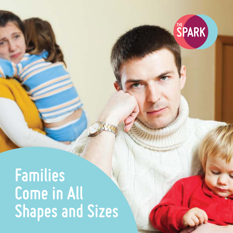

#### **Families Come in All Shapes and Sizes**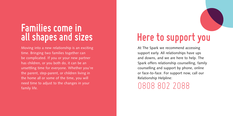## **Families come in all shapes and sizes**

Moving into a new relationship is an exciting time. Bringing two families together can be complicated. If you or your new partner has children, or you both do, it can be an unsettling time for everyone. Whether you're the parent, step-parent, or children living in the home all or some of the time, you will need time to adjust to the changes in your family life.

# **Here to support you**

At The Spark we recommend accessing support early. All relationships have ups and downs, and we are here to help. The Spark offers relationship counselling, family counselling and support by phone, online or face-to-face. For support now, call our Relationship Helpline:

0808 802 2088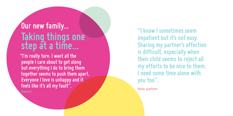### **Taking things one step at a time… Our new family... "I know I sometimes seem**

Parent New partner New partner **"I'm really torn. I want all the people I care about to get along but everything I do to bring them together seems to push them apart. Everyone I love is unhappy and it feels like it's all my fault".**

**impatient but it's not easy. Sharing my partner's affection is difficult, especially when their child seems to reject all my efforts to be nice to them. I need some time alone with you too".**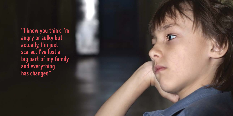**"I know you think I'm angry or sulky but actually, I'm just scared. I've lost a big part of my family and everything has changed".**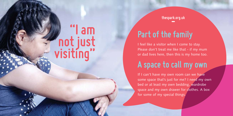# **"I am not just visiting"**

**thespark.org.uk**

### **Part of the family**

I feel like a visitor when I come to stay. Please don't treat me like that - if my mum or dad lives here, then this is my home too.

### **A space to call my own**

If I can't have my own room can we have some space that's just for me? I need my own bed or at least my own bedding, wardrobe space and my own drawer for clothes. A box for some of my special things.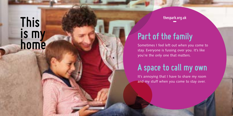# **This is my home and the family sometimes I feel left out when you.**<br> **Part of the family**<br>
stay. Everyone is fussing over you.

**thespark.org.uk**

Sometimes I feel left out when you come to stay. Everyone is fussing over you. It's like you're the only one that matters.

### **A space to call my own**

It's annoying that I have to share my room and my stuff when you come to stay over.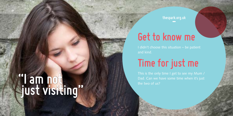**thespark.org.uk**

## **Get to know me**

# **Time for just me**

# **"I am not just visiting"**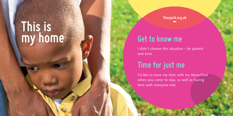# **This is my home**

**thespark.org.uk**

#### **Get to know me**

I didn't choose this situation – be patient and kind.

#### **Time for just me**

I'd like to have my time with my Mum/Dad when you come to stay, as well as having time with everyone else.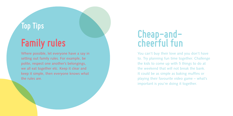### **Top Tips**

# **Family rules**

Where possible, let everyone have a say in setting out family rules. For example, be polite, respect one another's belongings, we all eat together etc. Keep it clear and keep it simple, then everyone knows what the rules are.

## **Cheap-andcheerful fun**

You can't buy their love and you don't have to. Try planning fun time together. Challenge the kids to come up with 5 things to do at the weekend that will not break the bank. It could be as simple as baking muffins or playing their favourite video game – what's important is you're doing it together.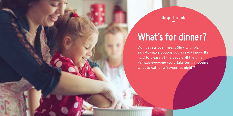**thespark.org.uk**

# **What's for dinner?**

Don't stress over meals. Stick with plain, easy-to-make options you already know. It's hard to please all the people all the time. Perhaps everyone could take turns choosing what to eat for a 'favourites night'?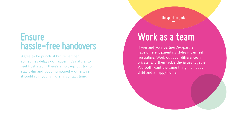### **Ensure hassle-free handovers**

Agree to be punctual but remember, sometimes delays do happen. It's natural to feel frustrated if there's a hold-up but try to stay calm and good humoured – otherwise it could ruin your children's contact time.

**thespark.org.uk**

# **Work as a team**

If you and your partner /ex-partner have different parenting styles it can feel frustrating. Work out your differences in private, and then tackle the issues together. You both want the same thing – a happy child and a happy home.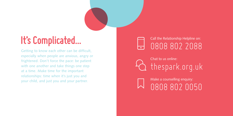# **It's Complicated...**

Getting to know each other can be difficult, especially when people are anxious, angry or frightened. Don't force the pace: be patient with one another and take things one step at a time. Make time for the important relationships: time when it's just you and your child, and just you and your partner.

#### Call the Relationship Helpline on: 0808 802 2088

Chat to us online: thespark.org.uk

Make a counselling enquiry: 0808 802 0050